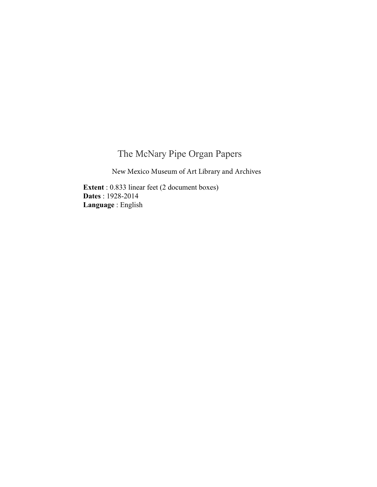## The McNary Pipe Organ Papers

New Mexico Museum of Art Library and Archives

**Extent** : 0.833 linear feet (2 document boxes) **Dates** : 1928-2014 **Language** : English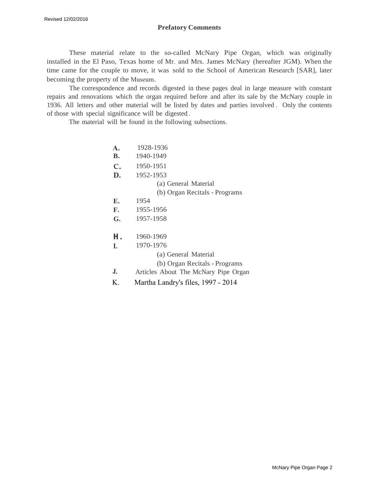#### **Prefatory Comments**

These material relate to the so-called McNary Pipe Organ, which was originally installed in the El Paso, Texas home of Mr. and Mrs. James McNary (hereafter JGM). When the time came for the couple to move, it was sold to the School of American Research [SAR], later becoming the property of the Museum.

The correspondence and records digested in these pages deal in large measure with constant repairs and renovations which the organ required before and after its sale by the McNary couple in 1936. All letters and other material will be listed by dates and parties involved . Only the contents of those with special significance will be digested .

The material will be found in the following subsections.

| $\mathbf{A}$ . | 1928-1936                            |
|----------------|--------------------------------------|
| <b>B.</b>      | 1940-1949                            |
| $\mathbf{C}$ . | 1950-1951                            |
| D.             | 1952-1953                            |
|                | (a) General Material                 |
|                | (b) Organ Recitals - Programs        |
| Е.             | 1954                                 |
| F.             | 1955-1956                            |
| G.             | 1957-1958                            |
| н.             | 1960-1969                            |
| I.             | 1970-1976                            |
|                | (a) General Material                 |
|                | (b) Organ Recitals - Programs        |
| J.             | Articles About The McNary Pipe Organ |
| К.             | Martha Landry's files, 1997 - 2014   |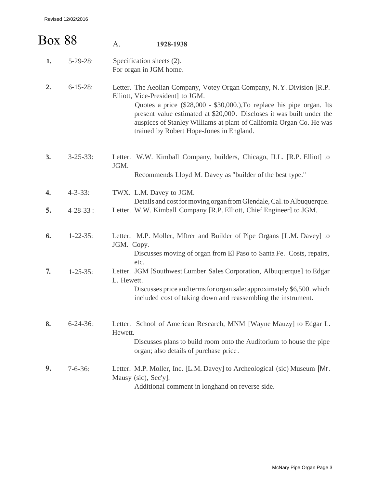| <b>Box 88</b> |                 | A.         | 1928-1938                                                                                                                                                                                                                                                                                                                                                                        |
|---------------|-----------------|------------|----------------------------------------------------------------------------------------------------------------------------------------------------------------------------------------------------------------------------------------------------------------------------------------------------------------------------------------------------------------------------------|
| 1.            | $5-29-28$ :     |            | Specification sheets (2).<br>For organ in JGM home.                                                                                                                                                                                                                                                                                                                              |
| 2.            | $6 - 15 - 28$ : |            | Letter. The Aeolian Company, Votey Organ Company, N.Y. Division [R.P.]<br>Elliott, Vice-President] to JGM.<br>Quotes a price (\$28,000 - \$30,000.), To replace his pipe organ. Its<br>present value estimated at \$20,000. Discloses it was built under the<br>auspices of Stanley Williams at plant of California Organ Co. He was<br>trained by Robert Hope-Jones in England. |
| 3.            | $3 - 25 - 33$ : | JGM.       | Letter. W.W. Kimball Company, builders, Chicago, ILL. [R.P. Elliot] to<br>Recommends Lloyd M. Davey as "builder of the best type."                                                                                                                                                                                                                                               |
| 4.            | $4 - 3 - 33$ :  |            | TWX. L.M. Davey to JGM.<br>Details and cost for moving organ from Glendale, Cal. to Albuquerque.                                                                                                                                                                                                                                                                                 |
| 5.            | $4 - 28 - 33$ : |            | Letter. W.W. Kimball Company [R.P. Elliott, Chief Engineer] to JGM.                                                                                                                                                                                                                                                                                                              |
| 6.            | $1 - 22 - 35$ : | JGM. Copy. | Letter. M.P. Moller, Mftrer and Builder of Pipe Organs [L.M. Davey] to<br>Discusses moving of organ from El Paso to Santa Fe. Costs, repairs,<br>etc.                                                                                                                                                                                                                            |
| 7.            | $1 - 25 - 35$ : | L. Hewett. | Letter. JGM [Southwest Lumber Sales Corporation, Albuquerque] to Edgar<br>Discusses price and terms for organ sale: approximately \$6,500. which<br>included cost of taking down and reassembling the instrument.                                                                                                                                                                |
| 8.            | $6 - 24 - 36$ : | Hewett.    | Letter. School of American Research, MNM [Wayne Mauzy] to Edgar L.<br>Discusses plans to build room onto the Auditorium to house the pipe<br>organ; also details of purchase price.                                                                                                                                                                                              |
| 9.            | $7 - 6 - 36$ :  |            | Letter. M.P. Moller, Inc. [L.M. Davey] to Archeological (sic) Museum [Mr.<br>Mausy (sic), Sec'y].<br>Additional comment in longhand on reverse side.                                                                                                                                                                                                                             |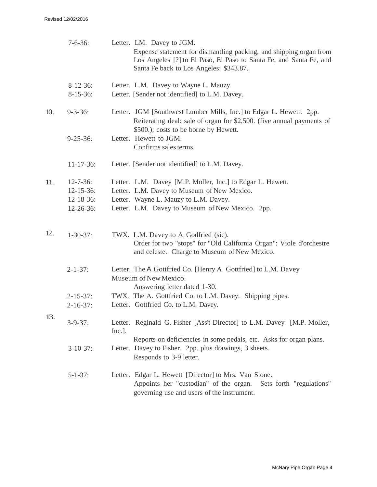|     | $7 - 6 - 36$ :                                                       | Letter. LM. Davey to JGM.<br>Expense statement for dismantling packing, and shipping organ from<br>Los Angeles [?] to El Paso, El Paso to Santa Fe, and Santa Fe, and<br>Santa Fe back to Los Angeles: \$343.87. |
|-----|----------------------------------------------------------------------|------------------------------------------------------------------------------------------------------------------------------------------------------------------------------------------------------------------|
|     | $8-12-36$ :<br>$8-15-36$ :                                           | Letter. L.M. Davey to Wayne L. Mauzy.<br>Letter. [Sender not identified] to L.M. Davey.                                                                                                                          |
| 10. | $9 - 3 - 36$ :                                                       | Letter. JGM [Southwest Lumber Mills, Inc.] to Edgar L. Hewett. 2pp.<br>Reiterating deal: sale of organ for \$2,500. (five annual payments of                                                                     |
|     | $9 - 25 - 36$ :                                                      | \$500.); costs to be borne by Hewett.<br>Letter. Hewett to JGM.<br>Confirms sales terms.                                                                                                                         |
|     | $11 - 17 - 36$ :                                                     | Letter. [Sender not identified] to L.M. Davey.                                                                                                                                                                   |
| 11. | $12 - 7 - 36$ :<br>$12 - 15 - 36$ :<br>$12 - 18 - 36$ :<br>12-26-36: | Letter. L.M. Davey [M.P. Moller, Inc.] to Edgar L. Hewett.<br>Letter. L.M. Davey to Museum of New Mexico.<br>Letter. Wayne L. Mauzy to L.M. Davey.<br>Letter. L.M. Davey to Museum of New Mexico. 2pp.           |
| 12. | $1 - 30 - 37$ :                                                      | TWX. L.M. Davey to A Godfried (sic).<br>Order for two "stops" for "Old California Organ": Viole d'orchestre<br>and celeste. Charge to Museum of New Mexico.                                                      |
|     | $2 - 1 - 37$ :                                                       | Letter. The A Gottfried Co. [Henry A. Gottfried] to L.M. Davey<br>Museum of New Mexico.                                                                                                                          |
|     | $2 - 15 - 37$ :<br>$2 - 16 - 37$ :                                   | Answering letter dated 1-30.<br>TWX. The A. Gottfried Co. to L.M. Davey. Shipping pipes.<br>Letter. Gottfried Co. to L.M. Davey.                                                                                 |
| 13. | $3 - 9 - 37$ :                                                       | Letter. Reginald G. Fisher [Ass't Director] to L.M. Davey [M.P. Moller,<br>Inc.]                                                                                                                                 |
|     | $3-10-37$ :                                                          | Reports on deficiencies in some pedals, etc. Asks for organ plans.<br>Letter. Davey to Fisher. 2pp. plus drawings, 3 sheets.<br>Responds to 3-9 letter.                                                          |
|     | $5 - 1 - 37$ :                                                       | Letter. Edgar L. Hewett [Director] to Mrs. Van Stone.<br>Appoints her "custodian" of the organ.<br>Sets forth "regulations"<br>governing use and users of the instrument.                                        |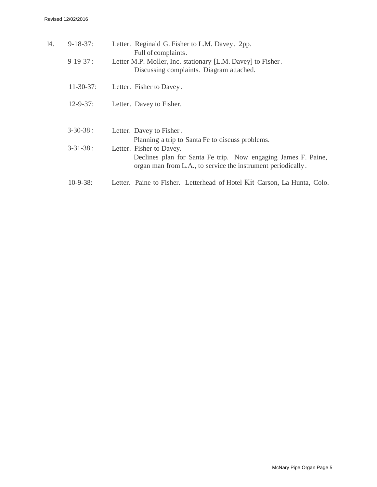| 14. | $9 - 18 - 37$ :  | Letter. Reginald G. Fisher to L.M. Davey. 2pp.<br>Full of complaints.                                                                                                                                         |
|-----|------------------|---------------------------------------------------------------------------------------------------------------------------------------------------------------------------------------------------------------|
|     | $9-19-37:$       | Letter M.P. Moller, Inc. stationary [L.M. Davey] to Fisher.<br>Discussing complaints. Diagram attached.                                                                                                       |
|     | $11 - 30 - 37$ : | Letter. Fisher to Davey.                                                                                                                                                                                      |
|     | $12 - 9 - 37$ :  | Letter. Davey to Fisher.                                                                                                                                                                                      |
|     | $3 - 30 - 38:$   | Letter. Davey to Fisher.                                                                                                                                                                                      |
|     | $3 - 31 - 38:$   | Planning a trip to Santa Fe to discuss problems.<br>Letter. Fisher to Davey.<br>Declines plan for Santa Fe trip. Now engaging James F. Paine,<br>organ man from L.A., to service the instrument periodically. |
|     | $10-9-38$ :      | Letter. Paine to Fisher. Letterhead of Hotel Kit Carson, La Hunta, Colo.                                                                                                                                      |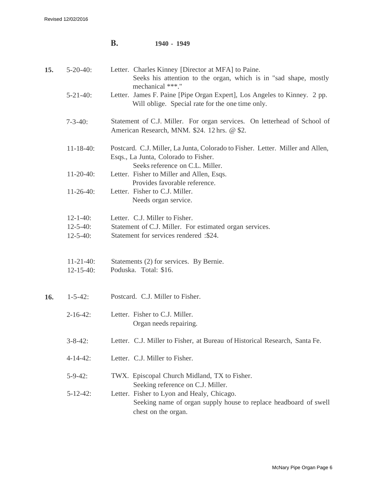|     |                                    | В.<br>1940 - 1949                                                                                                                                                          |
|-----|------------------------------------|----------------------------------------------------------------------------------------------------------------------------------------------------------------------------|
| 15. | $5 - 20 - 40$ :                    | Letter. Charles Kinney [Director at MFA] to Paine.<br>Seeks his attention to the organ, which is in "sad shape, mostly<br>mechanical ***."                                 |
|     | $5 - 21 - 40$ :                    | Letter. James F. Paine [Pipe Organ Expert], Los Angeles to Kinney. 2 pp.<br>Will oblige. Special rate for the one time only.                                               |
|     | $7 - 3 - 40$ :                     | Statement of C.J. Miller. For organ services. On letterhead of School of<br>American Research, MNM. \$24. 12 hrs. @ \$2.                                                   |
|     | $11 - 18 - 40$ :                   | Postcard. C.J. Miller, La Junta, Colorado to Fisher. Letter. Miller and Allen,<br>Esqs., La Junta, Colorado to Fisher.                                                     |
|     | $11-20-40$ :                       | Seeks reference on C.L. Miller.<br>Letter. Fisher to Miller and Allen, Esqs.<br>Provides favorable reference.                                                              |
|     | $11-26-40$ :                       | Letter. Fisher to C.J. Miller.<br>Needs organ service.                                                                                                                     |
|     | $12 - 1 - 40$ :                    | Letter. C.J. Miller to Fisher.                                                                                                                                             |
|     | $12 - 5 - 40$ :<br>$12 - 5 - 40$ : | Statement of C.J. Miller. For estimated organ services.<br>Statement for services rendered :\$24.                                                                          |
|     | $11-21-40$ :<br>$12 - 15 - 40$ :   | Statements (2) for services. By Bernie.<br>Poduska. Total: \$16.                                                                                                           |
| 16. | $1 - 5 - 42$ :                     | Postcard. C.J. Miller to Fisher.                                                                                                                                           |
|     | $2 - 16 - 42$ :                    | Letter. Fisher to C.J. Miller.<br>Organ needs repairing.                                                                                                                   |
|     | $3 - 8 - 42$ :                     | Letter. C.J. Miller to Fisher, at Bureau of Historical Research, Santa Fe.                                                                                                 |
|     | $4 - 14 - 42$ :                    | Letter. C.J. Miller to Fisher.                                                                                                                                             |
|     | $5-9-42$ :                         | TWX. Episcopal Church Midland, TX to Fisher.                                                                                                                               |
|     | $5 - 12 - 42$ :                    | Seeking reference on C.J. Miller.<br>Letter. Fisher to Lyon and Healy, Chicago.<br>Seeking name of organ supply house to replace headboard of swell<br>chest on the organ. |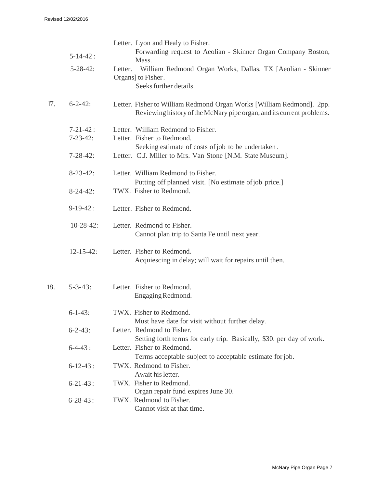|     | $5 - 14 - 42$ :<br>$5 - 28 - 42$ : | Letter. Lyon and Healy to Fisher.<br>Forwarding request to Aeolian - Skinner Organ Company Boston,<br>Mass.<br>William Redmond Organ Works, Dallas, TX [Aeolian - Skinner<br>Letter. |
|-----|------------------------------------|--------------------------------------------------------------------------------------------------------------------------------------------------------------------------------------|
|     |                                    | Organs] to Fisher.<br>Seeks further details.                                                                                                                                         |
| 17. | $6 - 2 - 42$ :                     | Letter. Fisher to William Redmond Organ Works [William Redmond]. 2pp.<br>Reviewing history of the McNary pipe organ, and its current problems.                                       |
|     | $7 - 21 - 42$ :                    | Letter. William Redmond to Fisher.                                                                                                                                                   |
|     | $7 - 23 - 42$ :                    | Letter. Fisher to Redmond.                                                                                                                                                           |
|     |                                    | Seeking estimate of costs of job to be undertaken.                                                                                                                                   |
|     | $7 - 28 - 42$ :                    | Letter. C.J. Miller to Mrs. Van Stone [N.M. State Museum].                                                                                                                           |
|     | $8-23-42$ :                        | Letter. William Redmond to Fisher.                                                                                                                                                   |
|     |                                    | Putting off planned visit. [No estimate of job price.]<br>TWX. Fisher to Redmond.                                                                                                    |
|     | $8-24-42$ :                        |                                                                                                                                                                                      |
|     | $9-19-42:$                         | Letter. Fisher to Redmond.                                                                                                                                                           |
|     | $10-28-42$ :                       | Letter. Redmond to Fisher.<br>Cannot plan trip to Santa Fe until next year.                                                                                                          |
|     | $12 - 15 - 42$ :                   | Letter. Fisher to Redmond.<br>Acquiescing in delay; will wait for repairs until then.                                                                                                |
| 18. | $5 - 3 - 43$ :                     | Letter. Fisher to Redmond.<br>Engaging Redmond.                                                                                                                                      |
|     |                                    |                                                                                                                                                                                      |
|     | $6 - 1 - 43$ :                     | TWX. Fisher to Redmond.                                                                                                                                                              |
|     |                                    | Must have date for visit without further delay.                                                                                                                                      |
|     | $6 - 2 - 43$ :                     | Letter. Redmond to Fisher.                                                                                                                                                           |
|     |                                    | Setting forth terms for early trip. Basically, \$30. per day of work.                                                                                                                |
|     | $6-4-43:$                          | Letter. Fisher to Redmond.                                                                                                                                                           |
|     |                                    | Terms acceptable subject to acceptable estimate for job.                                                                                                                             |
|     | $6 - 12 - 43$ :                    | TWX. Redmond to Fisher.                                                                                                                                                              |
|     |                                    | Await his letter.                                                                                                                                                                    |
|     | $6 - 21 - 43$ :                    | TWX. Fisher to Redmond.                                                                                                                                                              |
|     |                                    | Organ repair fund expires June 30.                                                                                                                                                   |
|     | $6 - 28 - 43$ :                    | TWX. Redmond to Fisher.<br>Cannot visit at that time.                                                                                                                                |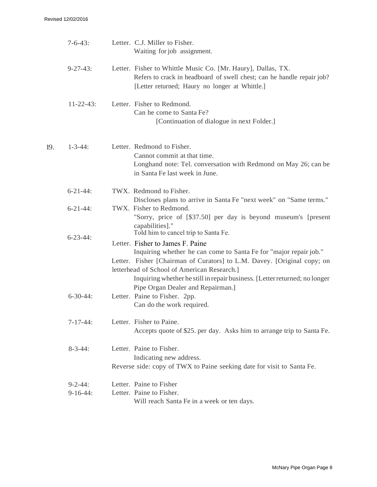|     | $7 - 6 - 43$ :               | Letter. C.J. Miller to Fisher.<br>Waiting for job assignment.                                                                                                                                                                                                                                                                                                                              |
|-----|------------------------------|--------------------------------------------------------------------------------------------------------------------------------------------------------------------------------------------------------------------------------------------------------------------------------------------------------------------------------------------------------------------------------------------|
|     | $9 - 27 - 43$ :              | Letter. Fisher to Whittle Music Co. [Mr. Haury], Dallas, TX.<br>Refers to crack in headboard of swell chest; can he handle repair job?<br>[Letter returned; Haury no longer at Whittle.]                                                                                                                                                                                                   |
|     | $11-22-43$ :                 | Letter. Fisher to Redmond.<br>Can he come to Santa Fe?<br>[Continuation of dialogue in next Folder.]                                                                                                                                                                                                                                                                                       |
| 19. | $1 - 3 - 44$ :               | Letter. Redmond to Fisher.<br>Cannot commit at that time.<br>Longhand note: Tel. conversation with Redmond on May 26; can be<br>in Santa Fe last week in June.                                                                                                                                                                                                                             |
|     | $6 - 21 - 44$ :              | TWX. Redmond to Fisher.<br>Discloses plans to arrive in Santa Fe "next week" on "Same terms."                                                                                                                                                                                                                                                                                              |
|     | $6 - 21 - 44$ :              | TWX. Fisher to Redmond.<br>"Sorry, price of [\$37.50] per day is beyond museum's [present<br>capabilities]."                                                                                                                                                                                                                                                                               |
|     | $6 - 23 - 44$ :              | Told him to cancel trip to Santa Fe.<br>Letter. Fisher to James F. Paine<br>Inquiring whether he can come to Santa Fe for "major repair job."<br>Letter. Fisher [Chairman of Curators] to L.M. Davey. [Original copy; on<br>letterhead of School of American Research.]<br>Inquiring whether he still in repair business. [Letter returned; no longer<br>Pipe Organ Dealer and Repairman.] |
|     | $6 - 30 - 44$ :              | Letter. Paine to Fisher. 2pp.<br>Can do the work required.                                                                                                                                                                                                                                                                                                                                 |
|     | $7-17-44:$                   | Letter. Fisher to Paine.<br>Accepts quote of \$25, per day. Asks him to arrange trip to Santa Fe.                                                                                                                                                                                                                                                                                          |
|     | $8 - 3 - 44$ :               | Letter. Paine to Fisher.<br>Indicating new address.<br>Reverse side: copy of TWX to Paine seeking date for visit to Santa Fe.                                                                                                                                                                                                                                                              |
|     | $9 - 2 - 44$ :<br>$9-16-44:$ | Letter. Paine to Fisher<br>Letter. Paine to Fisher.<br>Will reach Santa Fe in a week or ten days.                                                                                                                                                                                                                                                                                          |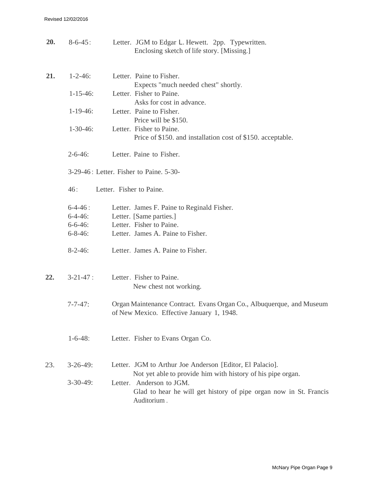| 20. | $8 - 6 - 45$ :  | Letter. JGM to Edgar L. Hewett. 2pp. Typewritten.<br>Enclosing sketch of life story. [Missing.]                         |
|-----|-----------------|-------------------------------------------------------------------------------------------------------------------------|
| 21. | $1 - 2 - 46$ :  | Letter. Paine to Fisher.<br>Expects "much needed chest" shortly.                                                        |
|     | $1 - 15 - 46$ : | Letter. Fisher to Paine.<br>Asks for cost in advance.                                                                   |
|     | $1-19-46$ :     | Letter. Paine to Fisher.<br>Price will be \$150.                                                                        |
|     | $1-30-46$ :     | Letter. Fisher to Paine.<br>Price of \$150. and installation cost of \$150. acceptable.                                 |
|     | $2 - 6 - 46$ :  | Letter. Paine to Fisher.                                                                                                |
|     |                 | 3-29-46: Letter. Fisher to Paine. 5-30-                                                                                 |
|     | 46:             | Letter. Fisher to Paine.                                                                                                |
|     | $6-4-46:$       | Letter. James F. Paine to Reginald Fisher.                                                                              |
|     | $6 - 4 - 46$ :  | Letter. [Same parties.]                                                                                                 |
|     | $6 - 6 - 46$ :  | Letter. Fisher to Paine.                                                                                                |
|     | $6 - 8 - 46$ :  | Letter. James A. Paine to Fisher.                                                                                       |
|     | $8-2-46$ :      | Letter. James A. Paine to Fisher.                                                                                       |
| 22. | $3 - 21 - 47$ : | Letter. Fisher to Paine.                                                                                                |
|     |                 | New chest not working.                                                                                                  |
|     | $7 - 7 - 47$ :  | Organ Maintenance Contract. Evans Organ Co., Albuquerque, and Museum<br>of New Mexico. Effective January 1, 1948.       |
|     | $1 - 6 - 48$ :  | Letter. Fisher to Evans Organ Co.                                                                                       |
| 23. | $3-26-49$ :     | Letter. JGM to Arthur Joe Anderson [Editor, El Palacio].<br>Not yet able to provide him with history of his pipe organ. |
|     | $3-30-49$ :     | Letter. Anderson to JGM.<br>Glad to hear he will get history of pipe organ now in St. Francis<br>Auditorium.            |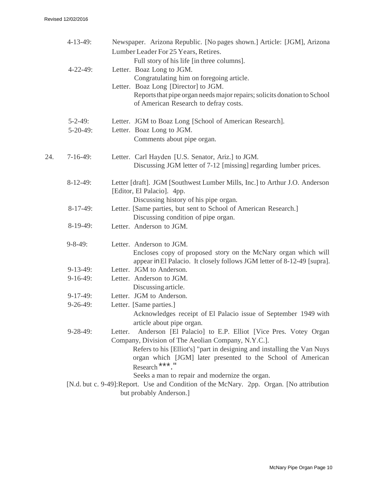|     | $4-13-49$ :     | Newspaper. Arizona Republic. [No pages shown.] Article: [JGM], Arizona<br>Lumber Leader For 25 Years, Retires.                                                        |
|-----|-----------------|-----------------------------------------------------------------------------------------------------------------------------------------------------------------------|
|     | $4 - 22 - 49$ : | Full story of his life [in three columns].<br>Letter. Boaz Long to JGM.                                                                                               |
|     |                 | Congratulating him on foregoing article.                                                                                                                              |
|     |                 | Letter. Boaz Long [Director] to JGM.                                                                                                                                  |
|     |                 | Reports that pipe organ needs major repairs; solicits donation to School<br>of American Research to defray costs.                                                     |
|     | $5 - 2 - 49$ :  | Letter. JGM to Boaz Long [School of American Research].                                                                                                               |
|     | $5-20-49$ :     | Letter. Boaz Long to JGM.                                                                                                                                             |
|     |                 | Comments about pipe organ.                                                                                                                                            |
| 24. | $7-16-49$ :     | Letter. Carl Hayden [U.S. Senator, Ariz.] to JGM.                                                                                                                     |
|     |                 | Discussing JGM letter of 7-12 [missing] regarding lumber prices.                                                                                                      |
|     | $8-12-49$ :     | Letter [draft]. JGM [Southwest Lumber Mills, Inc.] to Arthur J.O. Anderson<br>[Editor, El Palacio]. 4pp.                                                              |
|     |                 | Discussing history of his pipe organ.                                                                                                                                 |
|     | $8-17-49:$      | Letter. [Same parties, but sent to School of American Research.]                                                                                                      |
|     |                 | Discussing condition of pipe organ.                                                                                                                                   |
|     | $8-19-49:$      | Letter. Anderson to JGM.                                                                                                                                              |
|     | $9 - 8 - 49$ :  | Letter. Anderson to JGM.<br>Encloses copy of proposed story on the McNary organ which will<br>appear in El Palacio. It closely follows JGM letter of 8-12-49 [supra]. |
|     | $9-13-49:$      | Letter. JGM to Anderson.                                                                                                                                              |
|     | $9-16-49:$      | Letter. Anderson to JGM.                                                                                                                                              |
|     |                 | Discussing article.                                                                                                                                                   |
|     | $9-17-49:$      | Letter. JGM to Anderson.                                                                                                                                              |
|     | $9-26-49$ :     | Letter. [Same parties.]                                                                                                                                               |
|     |                 | Acknowledges receipt of El Palacio issue of September 1949 with                                                                                                       |
|     |                 | article about pipe organ.                                                                                                                                             |
|     | $9 - 28 - 49$ : | Anderson [El Palacio] to E.P. Elliot [Vice Pres. Votey Organ<br>Letter.<br>Company, Division of The Aeolian Company, N.Y.C.].                                         |
|     |                 | Refers to his [Elliot's] "part in designing and installing the Van Nuys<br>organ which [JGM] later presented to the School of American<br>*** ॥<br>Research           |
|     |                 | Seeks a man to repair and modernize the organ.<br>[N.d. but c. 9-49]: Report. Use and Condition of the McNary. 2pp. Organ. [No attribution                            |
|     |                 | but probably Anderson.]                                                                                                                                               |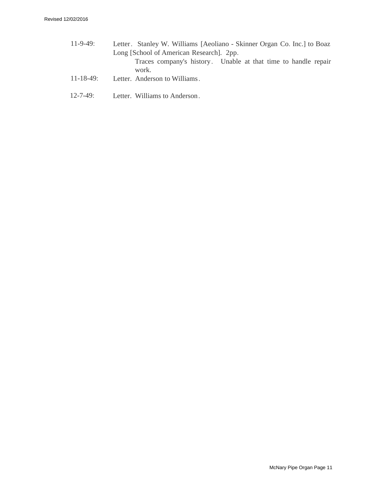- 11-9-49: 11-18-49: Letter. Stanley W. Williams [Aeoliano - Skinner Organ Co. Inc.] to Boaz Long [School of American Research]. 2pp. Traces company's history. Unable at that time to handle repair work. Letter. Anderson to Williams.
- 12-7-49: Letter. Williams to Anderson .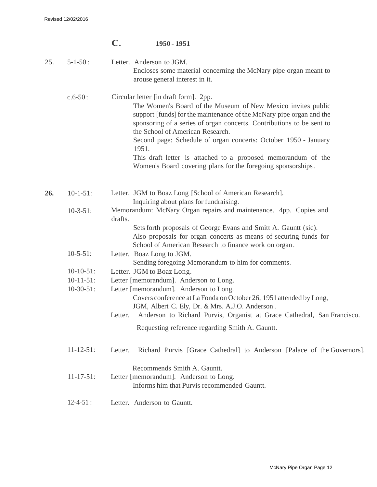|     |                  | $\mathbf C$ . | 1950 - 1951                                                                                                                                                                                                                                                                                                                                                                                                                                                                                             |
|-----|------------------|---------------|---------------------------------------------------------------------------------------------------------------------------------------------------------------------------------------------------------------------------------------------------------------------------------------------------------------------------------------------------------------------------------------------------------------------------------------------------------------------------------------------------------|
| 25. | $5 - 1 - 50$ :   |               | Letter. Anderson to JGM.<br>Encloses some material concerning the McNary pipe organ meant to<br>arouse general interest in it.                                                                                                                                                                                                                                                                                                                                                                          |
|     | $c.6 - 50$ :     |               | Circular letter [in draft form]. 2pp.<br>The Women's Board of the Museum of New Mexico invites public<br>support [funds] for the maintenance of the McNary pipe organ and the<br>sponsoring of a series of organ concerts. Contributions to be sent to<br>the School of American Research.<br>Second page: Schedule of organ concerts: October 1950 - January<br>1951.<br>This draft letter is attached to a proposed memorandum of the<br>Women's Board covering plans for the foregoing sponsorships. |
| 26. | $10-1-51$ :      |               | Letter. JGM to Boaz Long [School of American Research].<br>Inquiring about plans for fundraising.                                                                                                                                                                                                                                                                                                                                                                                                       |
|     | $10-3-51$ :      | drafts.       | Memorandum: McNary Organ repairs and maintenance. 4pp. Copies and                                                                                                                                                                                                                                                                                                                                                                                                                                       |
|     |                  |               | Sets forth proposals of George Evans and Smitt A. Gauntt (sic).<br>Also proposals for organ concerts as means of securing funds for<br>School of American Research to finance work on organ.                                                                                                                                                                                                                                                                                                            |
|     | $10-5-51$ :      |               | Letter. Boaz Long to JGM.<br>Sending foregoing Memorandum to him for comments.                                                                                                                                                                                                                                                                                                                                                                                                                          |
|     | $10-10-51$ :     |               | Letter. JGM to Boaz Long.                                                                                                                                                                                                                                                                                                                                                                                                                                                                               |
|     | $10-11-51$ :     |               | Letter [memorandum]. Anderson to Long.                                                                                                                                                                                                                                                                                                                                                                                                                                                                  |
|     | $10-30-51$ :     | Letter.       | Letter [memorandum]. Anderson to Long.<br>Covers conference at La Fonda on October 26, 1951 attended by Long,<br>JGM, Albert C. Ely, Dr. & Mrs. A.J.O. Anderson.<br>Anderson to Richard Purvis, Organist at Grace Cathedral, San Francisco.                                                                                                                                                                                                                                                             |
|     |                  |               | Requesting reference regarding Smith A. Gauntt.                                                                                                                                                                                                                                                                                                                                                                                                                                                         |
|     |                  |               |                                                                                                                                                                                                                                                                                                                                                                                                                                                                                                         |
|     | $11 - 12 - 51$ : | Letter.       | Richard Purvis [Grace Cathedral] to Anderson [Palace of the Governors].                                                                                                                                                                                                                                                                                                                                                                                                                                 |
|     | $11 - 17 - 51$ : |               | Recommends Smith A. Gauntt.<br>Letter [memorandum]. Anderson to Long.<br>Informs him that Purvis recommended Gauntt.                                                                                                                                                                                                                                                                                                                                                                                    |
|     | $12 - 4 - 51$ :  |               | Letter. Anderson to Gauntt.                                                                                                                                                                                                                                                                                                                                                                                                                                                                             |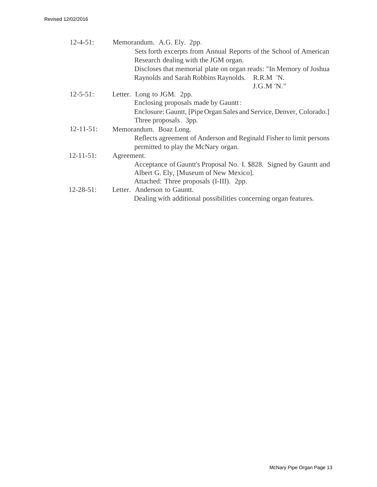| $12 - 4 - 51$ :  | Memorandum. A.G. Ely. 2pp.                                           |
|------------------|----------------------------------------------------------------------|
|                  | Sets forth excerpts from Annual Reports of the School of American    |
|                  | Research dealing with the JGM organ.                                 |
|                  | Discloses that memorial plate on organ reads: "In Memory of Joshua   |
|                  | Raynolds and Sarah Robbins Raynolds. R.R.M 'N.                       |
|                  | J.G.M'N."                                                            |
| $12 - 5 - 51$ :  | Letter. Long to JGM. 2pp.                                            |
|                  | Enclosing proposals made by Gauntt:                                  |
|                  | Enclosure: Gauntt, [Pipe Organ Sales and Service, Denver, Colorado.] |
|                  | Three proposals. 3pp.                                                |
| $12 - 11 - 51$ : | Memorandum. Boaz Long.                                               |
|                  | Reflects agreement of Anderson and Reginald Fisher to limit persons  |
|                  | permitted to play the McNary organ.                                  |
| $12 - 11 - 51$ : | Agreement.                                                           |
|                  | Acceptance of Gauntt's Proposal No. I. \$828. Signed by Gauntt and   |
|                  | Albert G. Ely, [Museum of New Mexico].                               |
|                  | Attached: Three proposals (I-III). 2pp.                              |
| $12 - 28 - 51$ : | Letter. Anderson to Gauntt.                                          |
|                  | Dealing with additional possibilities concerning organ features.     |
|                  |                                                                      |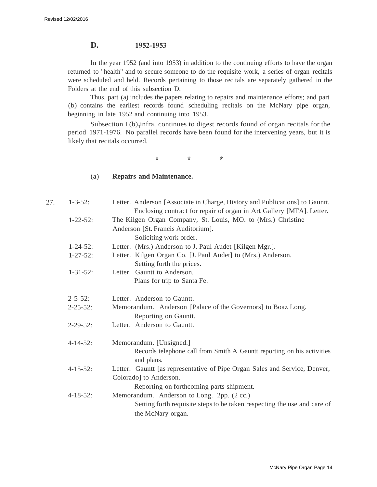### **D. 1952-1953**

In the year 1952 (and into 1953) in addition to the continuing efforts to have the organ returned to "health" and to secure someone to do the requisite work, a series of organ recitals were scheduled and held. Records pertaining to those recitals are separately gathered in the Folders at the end of this subsection D.

Thus, part (a) includes the papers relating to repairs and maintenance efforts; and part (b) contains the earliest records found scheduling recitals on the McNary pipe organ, beginning in late 1952 and continuing into 1953.

Subsection I  $(b)$ <sub>1</sub>infra, continues to digest records found of organ recitals for the period 1971-1976. No parallel records have been found for the intervening years, but it is likely that recitals occurred.

\* \*  $*$  \*

#### (a) **Repairs and Maintenance.**

| 27. | $1 - 3 - 52$ :  | Letter. Anderson [Associate in Charge, History and Publications] to Gauntt.          |
|-----|-----------------|--------------------------------------------------------------------------------------|
|     |                 | Enclosing contract for repair of organ in Art Gallery [MFA]. Letter.                 |
|     | $1 - 22 - 52$ : | The Kilgen Organ Company, St. Louis, MO. to (Mrs.) Christine                         |
|     |                 | Anderson [St. Francis Auditorium].                                                   |
|     |                 | Soliciting work order.                                                               |
|     | $1 - 24 - 52$ : | Letter. (Mrs.) Anderson to J. Paul Audet [Kilgen Mgr.].                              |
|     | $1 - 27 - 52$ : | Letter. Kilgen Organ Co. [J. Paul Audet] to (Mrs.) Anderson.                         |
|     |                 | Setting forth the prices.                                                            |
|     | $1 - 31 - 52$ : | Letter. Gauntt to Anderson.                                                          |
|     |                 | Plans for trip to Santa Fe.                                                          |
|     | $2 - 5 - 52$ :  | Letter. Anderson to Gauntt.                                                          |
|     | $2 - 25 - 52$ : | Memorandum. Anderson [Palace of the Governors] to Boaz Long.                         |
|     |                 | Reporting on Gauntt.                                                                 |
|     | $2 - 29 - 52$ : | Letter. Anderson to Gauntt.                                                          |
|     | $4 - 14 - 52$ : | Memorandum. [Unsigned.]                                                              |
|     |                 | Records telephone call from Smith A Gauntt reporting on his activities<br>and plans. |
|     | $4 - 15 - 52$ : | Letter. Gauntt [as representative of Pipe Organ Sales and Service, Denver,           |
|     |                 | Colorado] to Anderson.                                                               |
|     |                 | Reporting on forthcoming parts shipment.                                             |
|     | $4 - 18 - 52$ : | Memorandum. Anderson to Long. 2pp. (2 cc.)                                           |
|     |                 | Setting forth requisite steps to be taken respecting the use and care of             |
|     |                 | the McNary organ.                                                                    |
|     |                 |                                                                                      |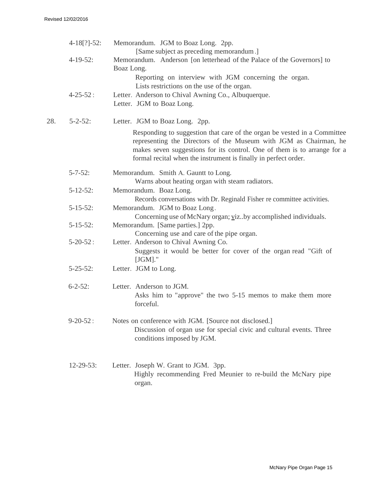|     | $4-18[?]-52:$    | Memorandum. JGM to Boaz Long. 2pp.                                                                                                                                                                                                                                                           |
|-----|------------------|----------------------------------------------------------------------------------------------------------------------------------------------------------------------------------------------------------------------------------------------------------------------------------------------|
|     | $4-19-52$ :      | [Same subject as preceding memorandum.]<br>Memorandum. Anderson [on letterhead of the Palace of the Governors] to<br>Boaz Long.<br>Reporting on interview with JGM concerning the organ.<br>Lists restrictions on the use of the organ.                                                      |
|     | $4 - 25 - 52$ :  | Letter. Anderson to Chival Awning Co., Albuquerque.<br>Letter. JGM to Boaz Long.                                                                                                                                                                                                             |
| 28. | $5 - 2 - 52$ :   | Letter. JGM to Boaz Long. 2pp.                                                                                                                                                                                                                                                               |
|     |                  | Responding to suggestion that care of the organ be vested in a Committee<br>representing the Directors of the Museum with JGM as Chairman, he<br>makes seven suggestions for its control. One of them is to arrange for a<br>formal recital when the instrument is finally in perfect order. |
|     | $5 - 7 - 52$ :   | Memorandum. Smith A. Gauntt to Long.<br>Warns about heating organ with steam radiators.                                                                                                                                                                                                      |
|     | $5 - 12 - 52$ :  | Memorandum. Boaz Long.<br>Records conversations with Dr. Reginald Fisher re committee activities.                                                                                                                                                                                            |
|     | $5 - 15 - 52$ :  | Memorandum. JGM to Boaz Long.<br>Concerning use of McNary organ; vizby accomplished individuals.                                                                                                                                                                                             |
|     | $5 - 15 - 52$ :  | Memorandum. [Same parties.] 2pp.<br>Concerning use and care of the pipe organ.                                                                                                                                                                                                               |
|     | $5 - 20 - 52$ :  | Letter. Anderson to Chival Awning Co.<br>Suggests it would be better for cover of the organ read "Gift of<br>$[JGM]$ ."                                                                                                                                                                      |
|     | $5 - 25 - 52$ :  | Letter. JGM to Long.                                                                                                                                                                                                                                                                         |
|     | $6 - 2 - 52$ :   | Letter. Anderson to JGM.<br>Asks him to "approve" the two 5-15 memos to make them more<br>forceful.                                                                                                                                                                                          |
|     | $9 - 20 - 52$ :  | Notes on conference with JGM. [Source not disclosed.]<br>Discussion of organ use for special civic and cultural events. Three<br>conditions imposed by JGM.                                                                                                                                  |
|     | $12 - 29 - 53$ : | Letter. Joseph W. Grant to JGM. 3pp.<br>Highly recommending Fred Meunier to re-build the McNary pipe<br>organ.                                                                                                                                                                               |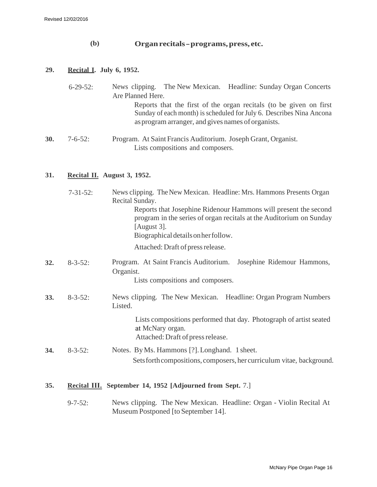30.

## **(b) Organrecitals- programs,press, etc.**

## **29. Recital I. July 6, 1952.**

| $6 - 29 - 52$ : | News clipping. The New Mexican. Headline: Sunday Organ Concerts                                                                                                                                  |
|-----------------|--------------------------------------------------------------------------------------------------------------------------------------------------------------------------------------------------|
|                 | Are Planned Here.                                                                                                                                                                                |
|                 | Reports that the first of the organ recitals (to be given on first<br>Sunday of each month) is scheduled for July 6. Describes Nina Ancona<br>as program arranger, and gives names of organists. |
| $7-6-52$ :      | Program. At Saint Francis Auditorium. Joseph Grant, Organist.<br>Lists compositions and composers.                                                                                               |

## **31. Recital II. August 3, 1952.**

| $7 - 31 - 52$ : | News clipping. The New Mexican. Headline: Mrs. Hammons Presents Organ<br>Recital Sunday.                                                                                                        |
|-----------------|-------------------------------------------------------------------------------------------------------------------------------------------------------------------------------------------------|
|                 | Reports that Josephine Ridenour Hammons will present the second<br>program in the series of organ recitals at the Auditorium on Sunday<br>[August $3$ ].<br>Biographical details on her follow. |
|                 |                                                                                                                                                                                                 |
|                 | Attached: Draft of press release.                                                                                                                                                               |
| $8 - 3 - 52$ :  | Program. At Saint Francis Auditorium.<br>Josephine Ridemour Hammons,<br>Organist.<br>Lists compositions and composers.                                                                          |
|                 |                                                                                                                                                                                                 |
| $8 - 3 - 52$ :  | News clipping. The New Mexican. Headline: Organ Program Numbers<br>Listed.                                                                                                                      |
|                 | Lists compositions performed that day. Photograph of artist seated<br>at McNary organ.<br>Attached: Draft of press release.                                                                     |
| $8 - 3 - 52$ :  | Notes. By Ms. Hammons [?]. Longhand. 1 sheet.                                                                                                                                                   |
|                 | Sets forth compositions, composers, her curriculum vitae, background.                                                                                                                           |
|                 | <b>Recital III.</b> September 14, 1952 [Adjourned from Sept. 7.]                                                                                                                                |
|                 |                                                                                                                                                                                                 |

9-7-52: News clipping. The New Mexican. Headline: Organ - Violin Recital At Museum Postponed [to September 14].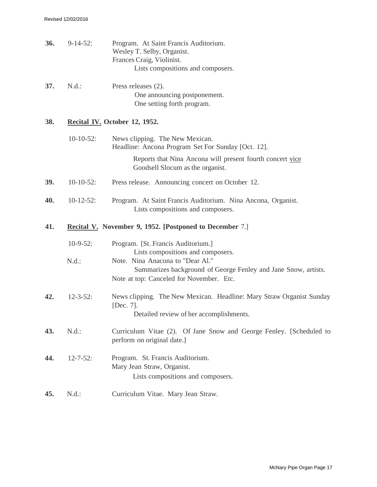| 36. | $9-14-52:$      | Program. At Saint Francis Auditorium.<br>Wesley T. Selby, Organist.<br>Frances Craig, Violinist.<br>Lists compositions and composers.          |
|-----|-----------------|------------------------------------------------------------------------------------------------------------------------------------------------|
| 37. | N.d.:           | Press releases (2).<br>One announcing postponement.<br>One setting forth program.                                                              |
| 38. |                 | Recital IV. October 12, 1952.                                                                                                                  |
|     | $10-10-52$ :    | News clipping. The New Mexican.<br>Headline: Ancona Program Set For Sunday [Oct. 12].                                                          |
|     |                 | Reports that Nina Ancona will present fourth concert vice<br>Goodsell Slocum as the organist.                                                  |
| 39. | $10-10-52$ :    | Press release. Announcing concert on October 12.                                                                                               |
| 40. | $10-12-52$ :    | Program. At Saint Francis Auditorium. Nina Ancona, Organist.<br>Lists compositions and composers.                                              |
| 41. |                 | <b>Recital V.</b> November 9, 1952. [Postponed to December 7.]                                                                                 |
|     | $10-9-52$ :     | Program. [St. Francis Auditorium.]<br>Lists compositions and composers.                                                                        |
|     | $N.d.$ :        | Note. Nina Anacona to "Dear Al."<br>Summarizes background of George Fenley and Jane Snow, artists.<br>Note at top: Canceled for November. Etc. |
| 42. | $12 - 3 - 52$ : | News clipping. The New Mexican. Headline: Mary Straw Organist Sunday<br>[Dec. $7$ ].<br>Detailed review of her accomplishments.                |
| 43. | N.d.:           | Curriculum Vitae (2). Of Jane Snow and George Fenley. [Scheduled to<br>perform on original date.]                                              |
| 44. | $12 - 7 - 52$ : | Program. St. Francis Auditorium.<br>Mary Jean Straw, Organist.<br>Lists compositions and composers.                                            |
| 45. | $N.d.$ :        | Curriculum Vitae. Mary Jean Straw.                                                                                                             |
|     |                 |                                                                                                                                                |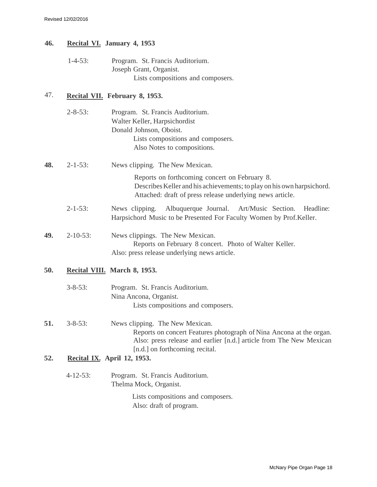## **46. Recital VI. January 4, 1953**

1-4-53: Program. St. Francis Auditorium. Joseph Grant, Organist. Lists compositions and composers.

## 47. **Recital VII. February 8, 1953.**

|     | $2 - 8 - 53$ :  | Program. St. Francis Auditorium.                                                                                                                                                                                |
|-----|-----------------|-----------------------------------------------------------------------------------------------------------------------------------------------------------------------------------------------------------------|
|     |                 | Walter Keller, Harpsichordist                                                                                                                                                                                   |
|     |                 | Donald Johnson, Oboist.                                                                                                                                                                                         |
|     |                 | Lists compositions and composers.                                                                                                                                                                               |
|     |                 | Also Notes to compositions.                                                                                                                                                                                     |
| 48. | $2 - 1 - 53$ :  | News clipping. The New Mexican.                                                                                                                                                                                 |
|     |                 | Reports on forthcoming concert on February 8.<br>Describes Keller and his achievements; to play on his own harpsichord.<br>Attached: draft of press release underlying news article.                            |
|     | $2 - 1 - 53$ :  | Albuquerque Journal.<br>Art/Music Section.<br>News clipping.<br>Headline:<br>Harpsichord Music to be Presented For Faculty Women by Prof.Keller.                                                                |
| 49. | $2 - 10 - 53$ : | News clippings. The New Mexican.<br>Reports on February 8 concert. Photo of Walter Keller.<br>Also: press release underlying news article.                                                                      |
| 50. |                 | Recital VIII. March 8, 1953.                                                                                                                                                                                    |
|     | $3 - 8 - 53$ :  | Program. St. Francis Auditorium.                                                                                                                                                                                |
|     |                 | Nina Ancona, Organist.                                                                                                                                                                                          |
|     |                 | Lists compositions and composers.                                                                                                                                                                               |
| 51. | $3 - 8 - 53$ :  | News clipping. The New Mexican.<br>Reports on concert Features photograph of Nina Ancona at the organ.<br>Also: press release and earlier [n.d.] article from The New Mexican<br>[n.d.] on forthcoming recital. |
| 52. |                 | <b>Recital IX.</b> April 12, 1953.                                                                                                                                                                              |
|     | $4 - 12 - 53$ : | Program. St. Francis Auditorium.<br>Thelma Mock, Organist.                                                                                                                                                      |
|     |                 | Lists compositions and composers.                                                                                                                                                                               |

Also: draft of program.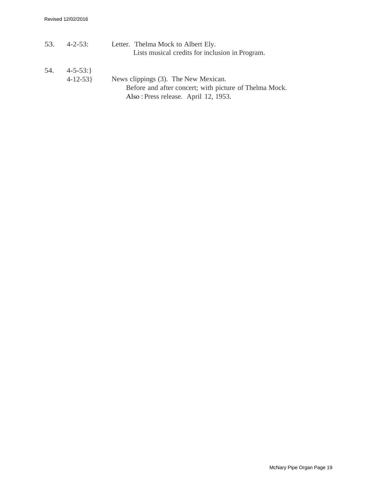|     | $53.4 - 2 - 53:$ | Letter. Thelma Mock to Albert Ely.                     |
|-----|------------------|--------------------------------------------------------|
|     |                  | Lists musical credits for inclusion in Program.        |
| 54. | $4 - 5 - 53$ : } |                                                        |
|     | $4 - 12 - 53$    | News clippings (3). The New Mexican.                   |
|     |                  | Before and after concert; with picture of Thelma Mock. |
|     |                  | Also: Press release. April 12, 1953.                   |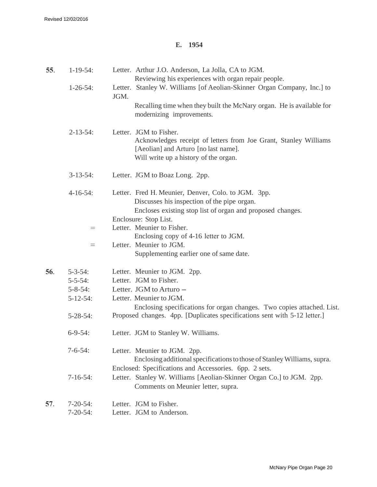## **E. 1954**

| 55. | $1-19-54$ :     | Letter. Arthur J.O. Anderson, La Jolla, CA to JGM.                              |
|-----|-----------------|---------------------------------------------------------------------------------|
|     |                 | Reviewing his experiences with organ repair people.                             |
|     | $1 - 26 - 54$ : | Letter. Stanley W. Williams [of Aeolian-Skinner Organ Company, Inc.] to<br>JGM. |
|     |                 | Recalling time when they built the McNary organ. He is available for            |
|     |                 | modernizing improvements.                                                       |
|     | $2 - 13 - 54$ : | Letter. JGM to Fisher.                                                          |
|     |                 | Acknowledges receipt of letters from Joe Grant, Stanley Williams                |
|     |                 | [Aeolian] and Arturo [no last name].                                            |
|     |                 | Will write up a history of the organ.                                           |
|     | $3-13-54$ :     | Letter. JGM to Boaz Long. 2pp.                                                  |
|     | $4-16-54$ :     | Letter. Fred H. Meunier, Denver, Colo. to JGM. 3pp.                             |
|     |                 | Discusses his inspection of the pipe organ.                                     |
|     |                 | Encloses existing stop list of organ and proposed changes.                      |
|     |                 | Enclosure: Stop List.                                                           |
|     | $=$             | Letter. Meunier to Fisher.                                                      |
|     |                 | Enclosing copy of 4-16 letter to JGM.                                           |
|     | $=$             | Letter. Meunier to JGM.                                                         |
|     |                 | Supplementing earlier one of same date.                                         |
| 56. | $5 - 3 - 54$ :  | Letter. Meunier to JGM. 2pp.                                                    |
|     | $5 - 5 - 54$ :  | Letter. JGM to Fisher.                                                          |
|     | $5 - 8 - 54$ :  | Letter. JGM to Arturo -                                                         |
|     | $5 - 12 - 54$ : | Letter. Meunier to JGM.                                                         |
|     |                 | Enclosing specifications for organ changes. Two copies attached. List.          |
|     | $5 - 28 - 54$ : | Proposed changes. 4pp. [Duplicates specifications sent with 5-12 letter.]       |
|     | $6 - 9 - 54$ :  | Letter. JGM to Stanley W. Williams.                                             |
|     | $7 - 6 - 54$ :  | Letter. Meunier to JGM. 2pp.                                                    |
|     |                 | Enclosing additional specifications to those of Stanley Williams, supra.        |
|     |                 | Enclosed: Specifications and Accessories. 6pp. 2 sets.                          |
|     | $7-16-54$ :     | Letter. Stanley W. Williams [Aeolian-Skinner Organ Co.] to JGM. 2pp.            |
|     |                 | Comments on Meunier letter, supra.                                              |
| 57. | $7 - 20 - 54$ : | Letter. JGM to Fisher.                                                          |
|     | $7 - 20 - 54$ : | Letter. JGM to Anderson.                                                        |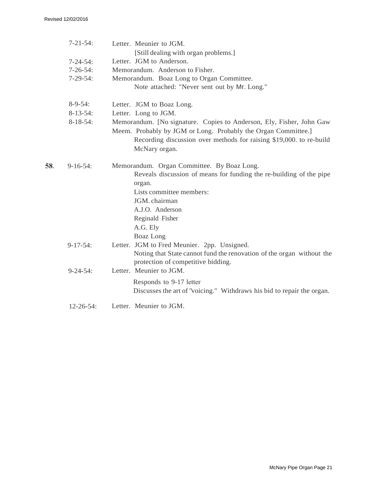|     | $7 - 21 - 54$ :  | Letter. Meunier to JGM.<br>[Still dealing with organ problems.]                                                                                       |
|-----|------------------|-------------------------------------------------------------------------------------------------------------------------------------------------------|
|     | $7 - 24 - 54$ :  | Letter. JGM to Anderson.                                                                                                                              |
|     | $7 - 26 - 54$ :  | Memorandum. Anderson to Fisher.                                                                                                                       |
|     | $7-29-54:$       | Memorandum. Boaz Long to Organ Committee.                                                                                                             |
|     |                  | Note attached: "Never sent out by Mr. Long."                                                                                                          |
|     | $8-9-54$ :       | Letter. JGM to Boaz Long.                                                                                                                             |
|     | $8-13-54$ :      | Letter. Long to JGM.                                                                                                                                  |
|     | $8-18-54$ :      | Memorandum. [No signature. Copies to Anderson, Ely, Fisher, John Gaw                                                                                  |
|     |                  | Meem. Probably by JGM or Long. Probably the Organ Committee.]<br>Recording discussion over methods for raising \$19,000. to re-build<br>McNary organ. |
| 58. | $9-16-54$ :      | Memorandum. Organ Committee. By Boaz Long.<br>Reveals discussion of means for funding the re-building of the pipe<br>organ.                           |
|     |                  | Lists committee members:                                                                                                                              |
|     |                  | JGM. chairman                                                                                                                                         |
|     |                  | A.J.O. Anderson                                                                                                                                       |
|     |                  | Reginald Fisher                                                                                                                                       |
|     |                  | A.G. Ely                                                                                                                                              |
|     |                  | Boaz Long                                                                                                                                             |
|     | $9-17-54$ :      | Letter. JGM to Fred Meunier. 2pp. Unsigned.                                                                                                           |
|     |                  | Noting that State cannot fund the renovation of the organ without the                                                                                 |
|     |                  | protection of competitive bidding.                                                                                                                    |
|     | $9 - 24 - 54$ :  | Letter. Meunier to JGM.                                                                                                                               |
|     |                  | Responds to 9-17 letter<br>Discusses the art of "voicing." Withdraws his bid to repair the organ.                                                     |
|     | $12 - 26 - 54$ : | Letter. Meunier to JGM.                                                                                                                               |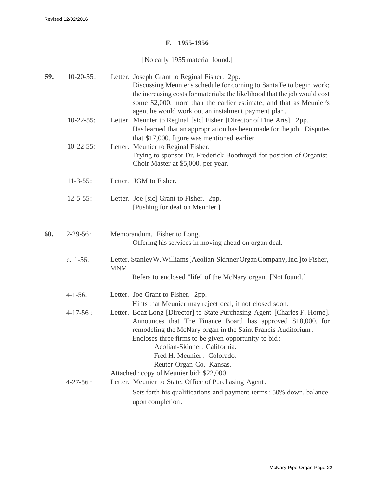#### **F. 1955-1956**

[No early 1955 material found.]

| 59. | $10-20-55$ :    | Letter. Joseph Grant to Reginal Fisher. 2pp.<br>Discussing Meunier's schedule for corning to Santa Fe to begin work;<br>the increasing costs for materials; the likelihood that the job would cost<br>some \$2,000. more than the earlier estimate; and that as Meunier's<br>agent he would work out an instalment payment plan.                                                                        |
|-----|-----------------|---------------------------------------------------------------------------------------------------------------------------------------------------------------------------------------------------------------------------------------------------------------------------------------------------------------------------------------------------------------------------------------------------------|
|     | $10-22-55$ :    | Letter. Meunier to Reginal [sic] Fisher [Director of Fine Arts]. 2pp.<br>Has learned that an appropriation has been made for the job. Disputes<br>that \$17,000. figure was mentioned earlier.                                                                                                                                                                                                          |
|     | $10-22-55$ :    | Letter. Meunier to Reginal Fisher.<br>Trying to sponsor Dr. Frederick Boothroyd for position of Organist-<br>Choir Master at \$5,000. per year.                                                                                                                                                                                                                                                         |
|     | $11 - 3 - 55$ : | Letter. JGM to Fisher.                                                                                                                                                                                                                                                                                                                                                                                  |
|     | $12 - 5 - 55$ : | Letter. Joe [sic] Grant to Fisher. 2pp.<br>[Pushing for deal on Meunier.]                                                                                                                                                                                                                                                                                                                               |
| 60. | $2 - 29 - 56$ : | Memorandum. Fisher to Long.<br>Offering his services in moving ahead on organ deal.                                                                                                                                                                                                                                                                                                                     |
|     | c. $1-56$ :     | Letter. Stanley W. Williams [Aeolian-Skinner Organ Company, Inc.] to Fisher,<br>MNM.                                                                                                                                                                                                                                                                                                                    |
|     |                 | Refers to enclosed "life" of the McNary organ. [Not found.]                                                                                                                                                                                                                                                                                                                                             |
|     | $4 - 1 - 56$ :  | Letter. Joe Grant to Fisher. 2pp.<br>Hints that Meunier may reject deal, if not closed soon.                                                                                                                                                                                                                                                                                                            |
|     | $4-17-56:$      | Letter. Boaz Long [Director] to State Purchasing Agent [Charles F. Horne].<br>Announces that The Finance Board has approved \$18,000. for<br>remodeling the McNary organ in the Saint Francis Auditorium.<br>Encloses three firms to be given opportunity to bid:<br>Aeolian-Skinner, California<br>Fred H. Meunier . Colorado.<br>Reuter Organ Co. Kansas.<br>Attached: copy of Meunier bid: \$22,000. |
|     | $4 - 27 - 56$ : | Letter. Meunier to State, Office of Purchasing Agent.<br>Sets forth his qualifications and payment terms: 50% down, balance<br>upon completion.                                                                                                                                                                                                                                                         |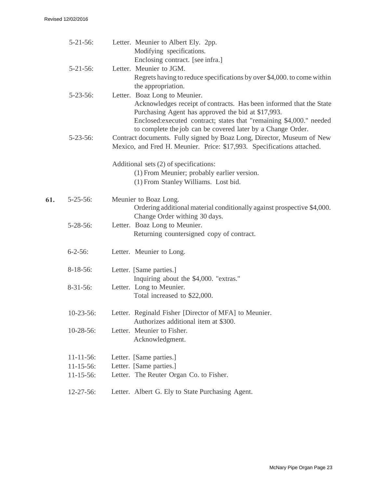61.

| Letter. Meunier to Albert Ely. 2pp.<br>Modifying specifications.<br>Enclosing contract. [see infra.]                                                                                                                                                                                              |
|---------------------------------------------------------------------------------------------------------------------------------------------------------------------------------------------------------------------------------------------------------------------------------------------------|
| Letter. Meunier to JGM.<br>Regrets having to reduce specifications by over \$4,000. to come within<br>the appropriation.                                                                                                                                                                          |
| Letter. Boaz Long to Meunier.<br>Acknowledges receipt of contracts. Has been informed that the State<br>Purchasing Agent has approved the bid at \$17,993.<br>Enclosed: executed contract; states that "remaining \$4,000." needed<br>to complete the job can be covered later by a Change Order. |
| Contract documents. Fully signed by Boaz Long, Director, Museum of New<br>Mexico, and Fred H. Meunier. Price: \$17,993. Specifications attached.                                                                                                                                                  |
| Additional sets (2) of specifications:<br>(1) From Meunier; probably earlier version.<br>(1) From Stanley Williams. Lost bid.                                                                                                                                                                     |
| Meunier to Boaz Long.<br>Ordering additional material conditionally against prospective \$4,000.<br>Change Order withing 30 days.                                                                                                                                                                 |
| Letter. Boaz Long to Meunier.<br>Returning countersigned copy of contract.                                                                                                                                                                                                                        |
| Letter. Meunier to Long.                                                                                                                                                                                                                                                                          |
| Letter. [Same parties.]<br>Inquiring about the \$4,000. "extras."                                                                                                                                                                                                                                 |
| Letter. Long to Meunier.<br>Total increased to \$22,000.                                                                                                                                                                                                                                          |
| Letter. Reginald Fisher [Director of MFA] to Meunier.<br>Authorizes additional item at \$300.                                                                                                                                                                                                     |
| Letter. Meunier to Fisher.<br>Acknowledgment.                                                                                                                                                                                                                                                     |
| Letter. [Same parties.]                                                                                                                                                                                                                                                                           |
| Letter. [Same parties.]                                                                                                                                                                                                                                                                           |
| Letter. The Reuter Organ Co. to Fisher.                                                                                                                                                                                                                                                           |
| Letter. Albert G. Ely to State Purchasing Agent.                                                                                                                                                                                                                                                  |
|                                                                                                                                                                                                                                                                                                   |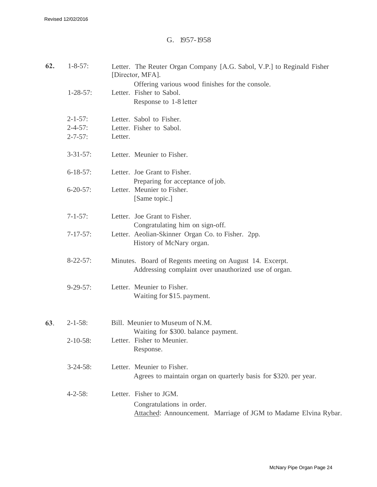#### G. 1957-1958

| 62. | $1 - 8 - 57$ :  | Letter. The Reuter Organ Company [A.G. Sabol, V.P.] to Reginald Fisher<br>[Director, MFA]. |
|-----|-----------------|--------------------------------------------------------------------------------------------|
|     |                 | Offering various wood finishes for the console.                                            |
|     | $1 - 28 - 57$ : | Letter. Fisher to Sabol.                                                                   |
|     |                 | Response to 1-8 letter                                                                     |
|     | $2 - 1 - 57$ :  | Letter. Sabol to Fisher.                                                                   |
|     | $2 - 4 - 57$ :  | Letter. Fisher to Sabol.                                                                   |
|     | $2 - 7 - 57$ :  | Letter.                                                                                    |
|     | $3 - 31 - 57$ : | Letter. Meunier to Fisher.                                                                 |
|     | $6 - 18 - 57$ : | Letter. Joe Grant to Fisher.                                                               |
|     |                 | Preparing for acceptance of job.                                                           |
|     | $6 - 20 - 57$ : | Letter. Meunier to Fisher.                                                                 |
|     |                 | [Same topic.]                                                                              |
|     | $7 - 1 - 57$ :  | Letter. Joe Grant to Fisher.                                                               |
|     |                 | Congratulating him on sign-off.                                                            |
|     | $7 - 17 - 57$ : | Letter. Aeolian-Skinner Organ Co. to Fisher. 2pp.                                          |
|     |                 | History of McNary organ.                                                                   |
|     | $8-22-57$ :     | Minutes. Board of Regents meeting on August 14. Excerpt.                                   |
|     |                 | Addressing complaint over unauthorized use of organ.                                       |
|     | $9 - 29 - 57$ : | Letter. Meunier to Fisher.                                                                 |
|     |                 | Waiting for \$15. payment.                                                                 |
|     |                 |                                                                                            |
| 63. | $2 - 1 - 58$ :  | Bill. Meunier to Museum of N.M.                                                            |
|     |                 | Waiting for \$300. balance payment.                                                        |
|     | $2-10-58$ :     | Letter. Fisher to Meunier.                                                                 |
|     |                 | Response.                                                                                  |
|     | $3 - 24 - 58$ : | Letter. Meunier to Fisher.                                                                 |
|     |                 | Agrees to maintain organ on quarterly basis for \$320, per year.                           |
|     | $4 - 2 - 58$ :  | Letter. Fisher to JGM.                                                                     |
|     |                 | Congratulations in order.                                                                  |
|     |                 | Attached: Announcement. Marriage of JGM to Madame Elvina Rybar.                            |
|     |                 |                                                                                            |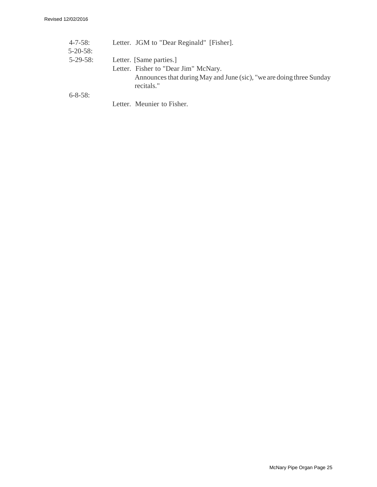| $4 - 7 - 58$ :  | Letter. JGM to "Dear Reginald" [Fisher].                                           |
|-----------------|------------------------------------------------------------------------------------|
| $5 - 20 - 58$ : |                                                                                    |
| $5-29-58$ :     | Letter. [Same parties.]                                                            |
|                 | Letter. Fisher to "Dear Jim" McNary.                                               |
|                 | Announces that during May and June (sic), "we are doing three Sunday<br>recitals." |
| $6 - 8 - 58$ :  |                                                                                    |
|                 | Letter. Meunier to Fisher.                                                         |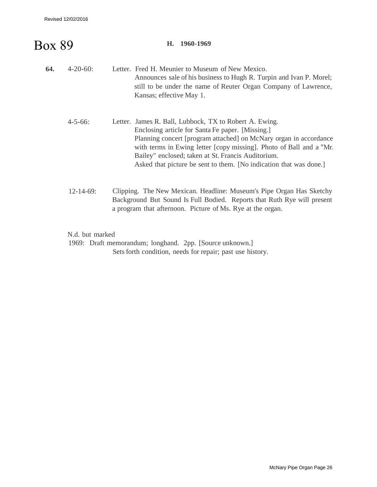# Box 89

#### **H. 1960-1969**

| 64. | $4 - 20 - 60$ :  | Letter. Fred H. Meunier to Museum of New Mexico.<br>Announces sale of his business to Hugh R. Turpin and Ivan P. Morel;<br>still to be under the name of Reuter Organ Company of Lawrence,<br>Kansas; effective May 1.                                                                                                                                                             |
|-----|------------------|------------------------------------------------------------------------------------------------------------------------------------------------------------------------------------------------------------------------------------------------------------------------------------------------------------------------------------------------------------------------------------|
|     | $4 - 5 - 66$ :   | Letter. James R. Ball, Lubbock, TX to Robert A. Ewing.<br>Enclosing article for Santa Fe paper. [Missing.]<br>Planning concert [program attached] on McNary organ in accordance<br>with terms in Ewing letter [copy missing]. Photo of Ball and a "Mr.<br>Bailey" enclosed; taken at St. Francis Auditorium.<br>Asked that picture be sent to them. [No indication that was done.] |
|     | $12 - 14 - 69$ : | Clipping. The New Mexican. Headline: Museum's Pipe Organ Has Sketchy<br>Background But Sound Is Full Bodied. Reports that Ruth Rye will present                                                                                                                                                                                                                                    |

a program that afternoon. Picture of Ms. Rye at the organ.

N.d. but marked

1969: Draft memorandum; longhand. 2pp. [Source unknown.] Sets forth condition, needs for repair; past use history.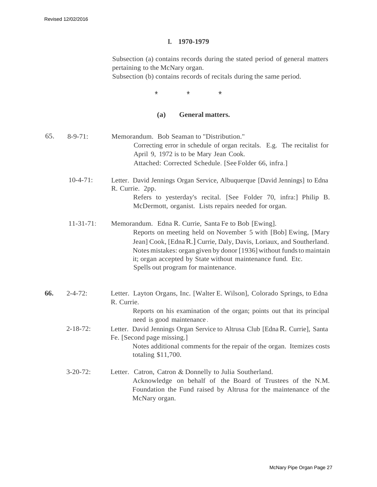#### **I. 1970-1979**

Subsection (a) contains records during the stated period of general matters pertaining to the McNary organ.

Subsection (b) contains records of recitals during the same period.

\* \* \*

## **(a) General matters.**

| 65. | $8-9-71$ :      | Memorandum. Bob Seaman to "Distribution."<br>Correcting error in schedule of organ recitals. E.g. The recitalist for<br>April 9, 1972 is to be Mary Jean Cook.<br>Attached: Corrected Schedule. [See Folder 66, infra.]                                                                                                                                                     |
|-----|-----------------|-----------------------------------------------------------------------------------------------------------------------------------------------------------------------------------------------------------------------------------------------------------------------------------------------------------------------------------------------------------------------------|
|     | $10-4-71$ :     | Letter. David Jennings Organ Service, Albuquerque [David Jennings] to Edna<br>R. Currie. 2pp.<br>Refers to yesterday's recital. [See Folder 70, infra:] Philip B.<br>McDermott, organist. Lists repairs needed for organ.                                                                                                                                                   |
|     | $11-31-71$ :    | Memorandum. Edna R. Currie, Santa Fe to Bob [Ewing].<br>Reports on meeting held on November 5 with [Bob] Ewing, [Mary<br>Jean] Cook, [Edna R.] Currie, Daly, Davis, Loriaux, and Southerland.<br>Notes mistakes: organ given by donor [1936] without funds to maintain<br>it; organ accepted by State without maintenance fund. Etc.<br>Spells out program for maintenance. |
| 66. | $2 - 4 - 72$ :  | Letter. Layton Organs, Inc. [Walter E. Wilson], Colorado Springs, to Edna<br>R. Currie.<br>Reports on his examination of the organ; points out that its principal<br>need is good maintenance.                                                                                                                                                                              |
|     | $2 - 18 - 72$ : | Letter. David Jennings Organ Service to Altrusa Club [Edna R. Currie], Santa<br>Fe. [Second page missing.]<br>Notes additional comments for the repair of the organ. Itemizes costs<br>totaling \$11,700.                                                                                                                                                                   |
|     | $3-20-72$ :     | Letter. Catron, Catron & Donnelly to Julia Southerland.<br>Acknowledge on behalf of the Board of Trustees of the N.M.<br>Foundation the Fund raised by Altrusa for the maintenance of the<br>McNary organ.                                                                                                                                                                  |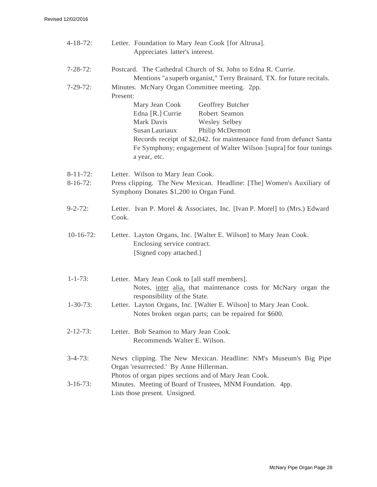| $4 - 18 - 72$ :                | Letter. Foundation to Mary Jean Cook [for Altrusa].<br>Appreciates latter's interest.                                                                                                                                                                                                                                |
|--------------------------------|----------------------------------------------------------------------------------------------------------------------------------------------------------------------------------------------------------------------------------------------------------------------------------------------------------------------|
| $7 - 28 - 72$ :<br>$7-29-72$ : | Postcard. The Cathedral Church of St. John to Edna R. Currie.<br>Mentions "a superb organist," Terry Brainard, TX. for future recitals.<br>Minutes. McNary Organ Committee meeting. 2pp.                                                                                                                             |
|                                | Present:<br>Mary Jean Cook<br>Geoffrey Butcher<br>Edna [R.] Currie<br>Robert Seamon<br>Mark Davis<br>Wesley Selbey<br>Philip McDermott<br>Susan Lauriaux<br>Records receipt of \$2,042. for maintenance fund from defunct Santa<br>Fe Symphony; engagement of Walter Wilson [supra] for four tunings<br>a year, etc. |
| $8-11-72$ :<br>$8-16-72$ :     | Letter. Wilson to Mary Jean Cook.<br>Press clipping. The New Mexican. Headline: [The] Women's Auxiliary of<br>Symphony Donates \$1,200 to Organ Fund.                                                                                                                                                                |
| $9 - 2 - 72$ :                 | Letter. Ivan P. Morel & Associates, Inc. [Ivan P. Morel] to (Mrs.) Edward<br>Cook.                                                                                                                                                                                                                                   |
| $10-16-72$ :                   | Letter. Layton Organs, Inc. [Walter E. Wilson] to Mary Jean Cook.<br>Enclosing service contract.<br>[Signed copy attached.]                                                                                                                                                                                          |
| $1 - 1 - 73$ :                 | Letter. Mary Jean Cook to [all staff members].<br>Notes, inter alia, that maintenance costs for McNary organ the<br>responsibility of the State.                                                                                                                                                                     |
| $1 - 30 - 73$ :                | Letter. Layton Organs, Inc. [Walter E. Wilson] to Mary Jean Cook.<br>Notes broken organ parts; can be repaired for \$600.                                                                                                                                                                                            |
| $2 - 12 - 73$ :                | Letter. Bob Seamon to Mary Jean Cook.<br>Recommends Walter E. Wilson.                                                                                                                                                                                                                                                |
| $3 - 4 - 73$ :                 | News clipping. The New Mexican. Headline: NM's Museum's Big Pipe<br>Organ 'resurrected.' By Anne Hillerman.<br>Photos of organ pipes sections and of Mary Jean Cook.                                                                                                                                                 |
| $3 - 16 - 73$ :                | Minutes. Meeting of Board of Trustees, MNM Foundation. 4pp.<br>Lists those present. Unsigned.                                                                                                                                                                                                                        |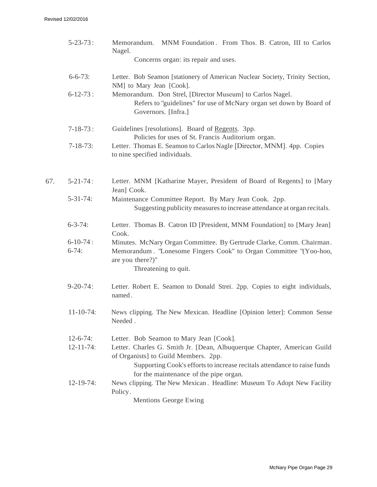|     | $5 - 23 - 73$ :            | Memorandum. MNM Foundation. From Thos. B. Catron, III to Carlos<br>Nagel.<br>Concerns organ: its repair and uses.                                                                                                                     |
|-----|----------------------------|---------------------------------------------------------------------------------------------------------------------------------------------------------------------------------------------------------------------------------------|
|     | $6 - 6 - 73$ :             | Letter. Bob Seamon [stationery of American Nuclear Society, Trinity Section,<br>NM] to Mary Jean [Cook].                                                                                                                              |
|     | $6 - 12 - 73$ :            | Memorandum. Don Strel, [Director Museum] to Carlos Nagel.<br>Refers to "guidelines" for use of McNary organ set down by Board of<br>Governors. [Infra.]                                                                               |
|     | $7 - 18 - 73$ :            | Guidelines [resolutions]. Board of Regents. 3pp.<br>Policies for uses of St. Francis Auditorium organ.                                                                                                                                |
|     | $7 - 18 - 73$ :            | Letter. Thomas E. Seamon to Carlos Nagle [Director, MNM]. 4pp. Copies<br>to nine specified individuals.                                                                                                                               |
| 67. | $5 - 21 - 74$ :            | Letter. MNM [Katharine Mayer, President of Board of Regents] to [Mary<br>Jean] Cook.                                                                                                                                                  |
|     | $5 - 31 - 74$ :            | Maintenance Committee Report. By Mary Jean Cook. 2pp.<br>Suggesting publicity measures to increase attendance at organ recitals.                                                                                                      |
|     | $6 - 3 - 74$ :             | Letter. Thomas B. Catron ID [President, MNM Foundation] to [Mary Jean]<br>Cook.                                                                                                                                                       |
|     | $6 - 10 - 74$ :<br>$6-74:$ | Minutes. McNary Organ Committee. By Gertrude Clarke, Comm. Chairman.<br>Memorandum. "Lonesome Fingers Cook" to Organ Committee "(Yoo-hoo,<br>are you there?)"<br>Threatening to quit.                                                 |
|     | $9 - 20 - 74$ :            | Letter. Robert E. Seamon to Donald Strei. 2pp. Copies to eight individuals,<br>named.                                                                                                                                                 |
|     | $11-10-74$ :               | News clipping. The New Mexican. Headline [Opinion letter]: Common Sense<br>Needed.                                                                                                                                                    |
|     | $12 - 6 - 74$ :            | Letter. Bob Seamon to Mary Jean [Cook].                                                                                                                                                                                               |
|     | $12 - 11 - 74$ :           | Letter. Charles G. Smith Jr. [Dean, Albuquerque Chapter, American Guild<br>of Organists] to Guild Members. 2pp.<br>Supporting Cook's efforts to increase recitals attendance to raise funds<br>for the maintenance of the pipe organ. |
|     | $12-19-74$ :               | News clipping. The New Mexican. Headline: Museum To Adopt New Facility<br>Policy.<br><b>Mentions George Ewing</b>                                                                                                                     |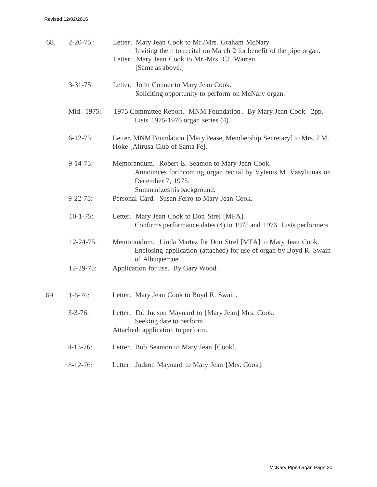| 68. | $2 - 20 - 75$ :  | Letter. Mary Jean Cook to Mr./Mrs. Graham McNary.<br>Inviting them to recital on March 2 for benefit of the pipe organ.<br>Letter. Mary Jean Cook to Mr./Mrs. CJ. Warren.<br>[Same as above.] |
|-----|------------------|-----------------------------------------------------------------------------------------------------------------------------------------------------------------------------------------------|
|     | $3 - 31 - 75$ :  | Letter. John Conner to Mary Jean Cook.<br>Soliciting opportunity to perform on McNary organ.                                                                                                  |
|     | Mid. 1975:       | 1975 Committee Report. MNM Foundation. By Mary Jean Cook. 2pp.<br>Lists 1975-1976 organ series (4).                                                                                           |
|     | $6 - 12 - 75$ :  | Letter. MNM Foundation [Mary Pease, Membership Secretary] to Mrs. J.M.<br>Hoke [Altrusa Club of Santa Fe].                                                                                    |
|     | $9-14-75$ :      | Memorandum. Robert E. Seamon to Mary Jean Cook.<br>Announces forthcoming organ recital by Vytenis M. Vasyliunas on<br>December 7, 1975.<br>Summarizes his background.                         |
|     | $9 - 22 - 75$ :  | Personal Card. Susan Ferro to Mary Jean Cook.                                                                                                                                                 |
|     | $10-1-75$ :      | Letter. Mary Jean Cook to Don Strel [MFA].<br>Confirms performance dates (4) in 1975 and 1976. Lists performers.                                                                              |
|     | $12 - 24 - 75$ : | Memorandum. Linda Martez for Don Strel [MFA] to Mary Jean Cook.<br>Enclosing application (attached) for use of organ by Boyd R. Swain<br>of Albuquerque.                                      |
|     | $12-29-75$ :     | Application for use. By Gary Wood.                                                                                                                                                            |
| 69. | $1 - 5 - 76$ :   | Letter. Mary Jean Cook to Boyd R. Swain.                                                                                                                                                      |
|     | $3 - 3 - 76$ :   | Letter. Dr. Judson Maynard to [Mary Jean] Mrs. Cook.<br>Seeking date to perform.<br>Attached: application to perform.                                                                         |
|     | $4 - 13 - 76$ :  | Letter. Bob Seamon to Mary Jean [Cook].                                                                                                                                                       |
|     | $8-12-76$ :      | Letter. Judson Maynard to Mary Jean [Mrs. Cook].                                                                                                                                              |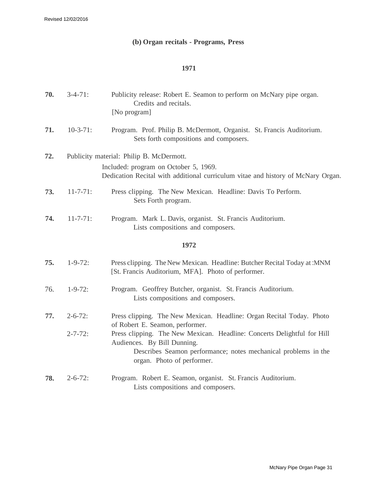## **(b) Organ recitals - Programs, Press**

## **1971**

| 70. | $3-4-71:$       | Publicity release: Robert E. Seamon to perform on McNary pipe organ.<br>Credits and recitals.<br>[No program]                                                                                          |
|-----|-----------------|--------------------------------------------------------------------------------------------------------------------------------------------------------------------------------------------------------|
| 71. | $10-3-71$ :     | Program. Prof. Philip B. McDermott, Organist. St. Francis Auditorium.<br>Sets forth compositions and composers.                                                                                        |
| 72. |                 | Publicity material: Philip B. McDermott.                                                                                                                                                               |
|     |                 | Included: program on October 5, 1969.<br>Dedication Recital with additional curriculum vitae and history of McNary Organ.                                                                              |
| 73. | $11 - 7 - 71$ : | Press clipping. The New Mexican. Headline: Davis To Perform.<br>Sets Forth program.                                                                                                                    |
| 74. | $11 - 7 - 71$ : | Program. Mark L. Davis, organist. St. Francis Auditorium.<br>Lists compositions and composers.                                                                                                         |
|     |                 | 1972                                                                                                                                                                                                   |
| 75. | $1 - 9 - 72$ :  | Press clipping. The New Mexican. Headline: Butcher Recital Today at :MNM<br>[St. Francis Auditorium, MFA]. Photo of performer.                                                                         |
| 76. | $1 - 9 - 72$ :  | Program. Geoffrey Butcher, organist. St. Francis Auditorium.<br>Lists compositions and composers.                                                                                                      |
| 77. | $2 - 6 - 72$ :  | Press clipping. The New Mexican. Headline: Organ Recital Today. Photo<br>of Robert E. Seamon, performer.                                                                                               |
|     | $2 - 7 - 72$ :  | Press clipping. The New Mexican. Headline: Concerts Delightful for Hill<br>Audiences. By Bill Dunning.<br>Describes Seamon performance; notes mechanical problems in the<br>organ. Photo of performer. |
| 78. | $2 - 6 - 72$ :  | Program. Robert E. Seamon, organist. St. Francis Auditorium.<br>Lists compositions and composers.                                                                                                      |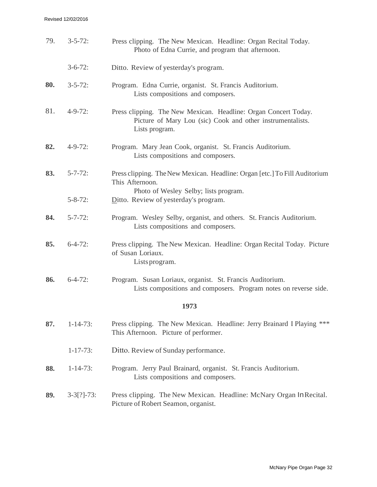#### Revised 12/02/2016

| 79. | $3 - 5 - 72$ :  | Press clipping. The New Mexican. Headline: Organ Recital Today.<br>Photo of Edna Currie, and program that afternoon.                            |
|-----|-----------------|-------------------------------------------------------------------------------------------------------------------------------------------------|
|     | $3-6-72$ :      | Ditto. Review of yesterday's program.                                                                                                           |
| 80. | $3 - 5 - 72$ :  | Program. Edna Currie, organist. St. Francis Auditorium.<br>Lists compositions and composers.                                                    |
| 81. | $4 - 9 - 72$ :  | Press clipping. The New Mexican. Headline: Organ Concert Today.<br>Picture of Mary Lou (sic) Cook and other instrumentalists.<br>Lists program. |
| 82. | $4 - 9 - 72$ :  | Program. Mary Jean Cook, organist. St. Francis Auditorium.<br>Lists compositions and composers.                                                 |
| 83. | $5 - 7 - 72$ :  | Press clipping. The New Mexican. Headline: Organ [etc.] To Fill Auditorium<br>This Afternoon.<br>Photo of Wesley Selby; lists program.          |
|     | $5 - 8 - 72$ :  | Ditto. Review of yesterday's program.                                                                                                           |
| 84. | $5 - 7 - 72$ :  | Program. Wesley Selby, organist, and others. St. Francis Auditorium.<br>Lists compositions and composers.                                       |
| 85. | $6 - 4 - 72$ :  | Press clipping. The New Mexican. Headline: Organ Recital Today. Picture<br>of Susan Loriaux.<br>Lists program.                                  |
| 86. | $6 - 4 - 72$ :  | Program. Susan Loriaux, organist. St. Francis Auditorium.<br>Lists compositions and composers. Program notes on reverse side.                   |
|     |                 | 1973                                                                                                                                            |
| 87. | $1 - 14 - 73$ : | Press clipping. The New Mexican. Headline: Jerry Brainard I Playing ***<br>This Afternoon. Picture of performer.                                |
|     | $1 - 17 - 73$ : | Ditto. Review of Sunday performance.                                                                                                            |
| 88. | $1 - 14 - 73$ : | Program. Jerry Paul Brainard, organist. St. Francis Auditorium.<br>Lists compositions and composers.                                            |
| 89. | $3-3[?]-73$ :   | Press clipping. The New Mexican. Headline: McNary Organ In Recital.<br>Picture of Robert Seamon, organist.                                      |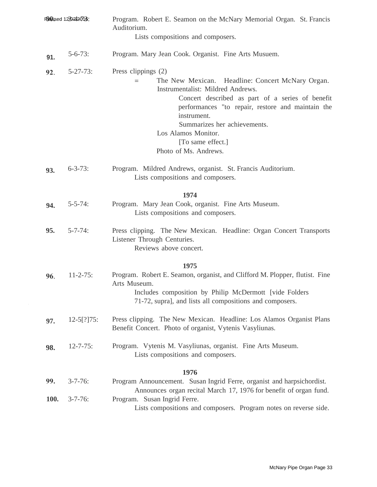| Revised 1270242016: |                 | Program. Robert E. Seamon on the McNary Memorial Organ. St. Francis<br>Auditorium.                                                                                                                                                                                                                                                        |
|---------------------|-----------------|-------------------------------------------------------------------------------------------------------------------------------------------------------------------------------------------------------------------------------------------------------------------------------------------------------------------------------------------|
|                     |                 | Lists compositions and composers.                                                                                                                                                                                                                                                                                                         |
| 91.                 | $5 - 6 - 73$ :  | Program. Mary Jean Cook. Organist. Fine Arts Musuem.                                                                                                                                                                                                                                                                                      |
| 92.                 | $5 - 27 - 73$ : | Press clippings (2)<br>The New Mexican. Headline: Concert McNary Organ.<br>Instrumentalist: Mildred Andrews.<br>Concert described as part of a series of benefit<br>performances "to repair, restore and maintain the<br>instrument.<br>Summarizes her achievements.<br>Los Alamos Monitor.<br>[To same effect.]<br>Photo of Ms. Andrews. |
| 93.                 | $6 - 3 - 73$ :  | Program. Mildred Andrews, organist. St. Francis Auditorium.<br>Lists compositions and composers.                                                                                                                                                                                                                                          |
|                     |                 | 1974                                                                                                                                                                                                                                                                                                                                      |
| 94.                 | $5 - 5 - 74$ :  | Program. Mary Jean Cook, organist. Fine Arts Museum.<br>Lists compositions and composers.                                                                                                                                                                                                                                                 |
| 95.                 | $5 - 7 - 74$ :  | Press clipping. The New Mexican. Headline: Organ Concert Transports<br>Listener Through Centuries.<br>Reviews above concert.                                                                                                                                                                                                              |
|                     |                 | 1975                                                                                                                                                                                                                                                                                                                                      |
| 96.                 | $11 - 2 - 75$ : | Program. Robert E. Seamon, organist, and Clifford M. Plopper, flutist. Fine<br>Arts Museum.<br>Includes composition by Philip McDermott [vide Folders<br>71-72, supra], and lists all compositions and composers.                                                                                                                         |
| 97.                 | $12-5[?]75:$    | Press clipping. The New Mexican. Headline: Los Alamos Organist Plans<br>Benefit Concert. Photo of organist, Vytenis Vasyliunas.                                                                                                                                                                                                           |
| 98.                 | $12 - 7 - 75$ : | Program. Vytenis M. Vasyliunas, organist. Fine Arts Museum.<br>Lists compositions and composers.                                                                                                                                                                                                                                          |
|                     |                 | 1976                                                                                                                                                                                                                                                                                                                                      |
| 99.                 | $3 - 7 - 76$ :  | Program Announcement. Susan Ingrid Ferre, organist and harpsichordist.<br>Announces organ recital March 17, 1976 for benefit of organ fund.                                                                                                                                                                                               |
| 100.                | $3 - 7 - 76$ :  | Program. Susan Ingrid Ferre.<br>Lists compositions and composers. Program notes on reverse side.                                                                                                                                                                                                                                          |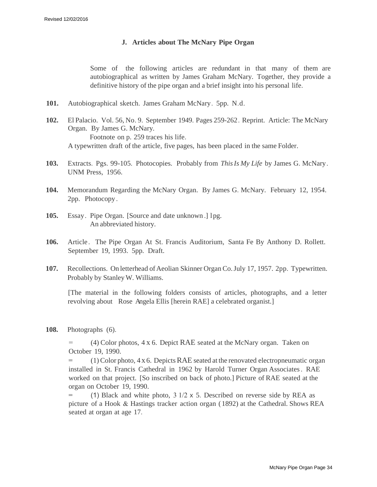## **J. Articles about The McNary Pipe Organ**

Some of the following articles are redundant in that many of them are autobiographical as written by James Graham McNary. Together, they provide a definitive history of the pipe organ and a brief insight into his personal life.

- **101.** Autobiographical sketch. James Graham McNary. 5pp. N.d.
- **102.** El Palacio. Vol. 56, No. 9. September 1949. Pages 259-262 . Reprint. Article: The McNary Organ. By James G. McNary. Footnote on p. 259 traces his life. A typewritten draft of the article, five pages, has been placed in the same Folder.
- **103.** Extracts. Pgs. 99-105. Photocopies. Probably from *This Is My Life* by James G. McNary. UNM Press, 1956.
- **104.** Memorandum Regarding the McNary Organ. By James G. McNary. February 12, 1954. 2pp. Photocopy .
- **105.** Essay. Pipe Organ. [Source and date unknown .] l pg. An abbreviated history.
- **106.** Article. The Pipe Organ At St. Francis Auditorium, Santa Fe By Anthony D. Rollett. September 19, 1993. 5pp. Draft.
- **107.** Recollections. On letterhead of Aeolian Skinner Organ Co. July 17, 1957. 2pp. Typewritten. Probably by Stanley W. Williams.

[The material in the following folders consists of articles, photographs, and a letter revolving about Rose Angela Ellis [herein RAE] a celebrated organist.]

**108.** Photographs (6).

 $(4)$  Color photos, 4 x 6. Depict RAE seated at the McNary organ. Taken on October 19, 1990.

 $(1)$  Color photo,  $4 \times 6$ . Depicts RAE seated at the renovated electropneumatic organ installed in St. Francis Cathedral in 1962 by Harold Turner Organ Associates. RAE worked on that project. [So inscribed on back of photo.] Picture of RAE seated at the organ on October 19, 1990.

(1) Black and white photo,  $3 \frac{1}{2} \times 5$ . Described on reverse side by REA as picture of a Hook & Hastings tracker action organ ( 1892) at the Cathedral. Shows REA seated at organ at age 17.